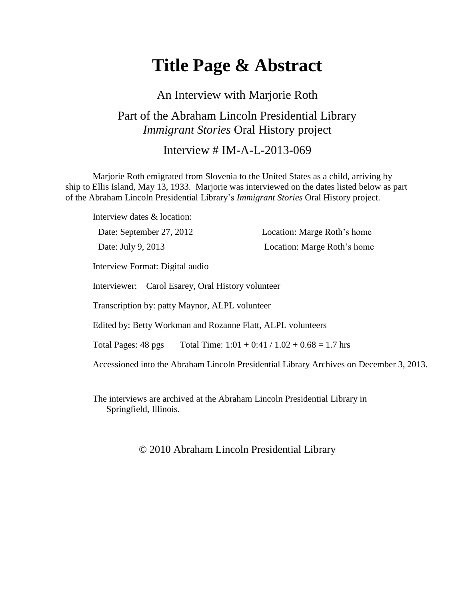# **Title Page & Abstract**

An Interview with Marjorie Roth

### Part of the Abraham Lincoln Presidential Library *Immigrant Stories* Oral History project

Interview  $\#$  IM-A-L-2013-069

Marjorie Roth emigrated from Slovenia to the United States as a child, arriving by ship to Ellis Island, May 13, 1933. Marjorie was interviewed on the dates listed below as part of the Abraham Lincoln Presidential Library's *Immigrant Stories* Oral History project.

Interview dates & location: Date: September 27, 2012 Location: Marge Roth's home Date: July 9, 2013 Location: Marge Roth's home Interview Format: Digital audio Interviewer: Carol Esarey, Oral History volunteer Transcription by: patty Maynor, ALPL volunteer Edited by: Betty Workman and Rozanne Flatt, ALPL volunteers Total Pages: 48 pgs Total Time:  $1:01 + 0:41 / 1.02 + 0.68 = 1.7$  hrs Accessioned into the Abraham Lincoln Presidential Library Archives on December 3, 2013.

The interviews are archived at the Abraham Lincoln Presidential Library in Springfield, Illinois.

© 2010 Abraham Lincoln Presidential Library